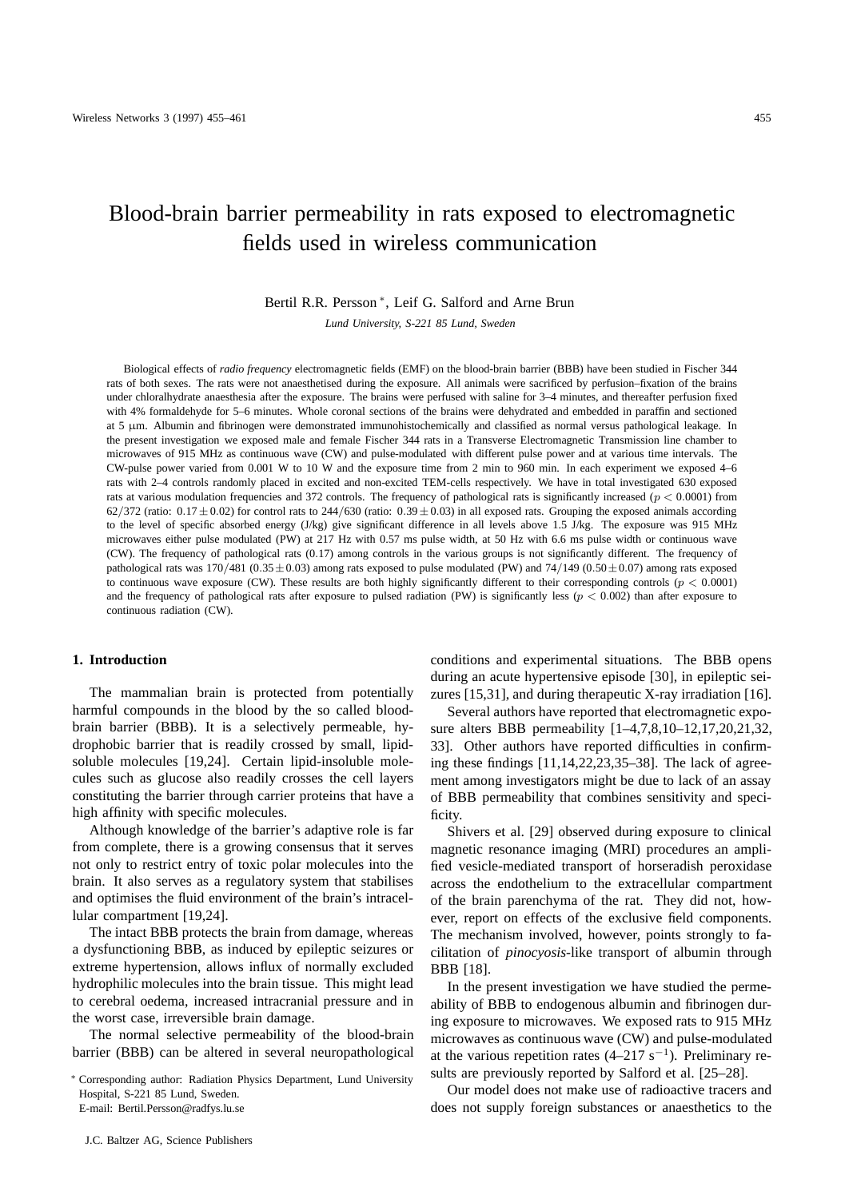# Blood-brain barrier permeability in rats exposed to electromagnetic fields used in wireless communication

## Bertil R.R. Persson *<sup>∗</sup>*, Leif G. Salford and Arne Brun

*Lund University, S-221 85 Lund, Sweden*

Biological effects of *radio frequency* electromagnetic fields (EMF) on the blood-brain barrier (BBB) have been studied in Fischer 344 rats of both sexes. The rats were not anaesthetised during the exposure. All animals were sacrificed by perfusion–fixation of the brains under chloralhydrate anaesthesia after the exposure. The brains were perfused with saline for 3–4 minutes, and thereafter perfusion fixed with 4% formaldehyde for 5–6 minutes. Whole coronal sections of the brains were dehydrated and embedded in paraffin and sectioned at 5 µm. Albumin and fibrinogen were demonstrated immunohistochemically and classified as normal versus pathological leakage. In the present investigation we exposed male and female Fischer 344 rats in a Transverse Electromagnetic Transmission line chamber to microwaves of 915 MHz as continuous wave (CW) and pulse-modulated with different pulse power and at various time intervals. The CW-pulse power varied from 0.001 W to 10 W and the exposure time from 2 min to 960 min. In each experiment we exposed 4–6 rats with 2–4 controls randomly placed in excited and non-excited TEM-cells respectively. We have in total investigated 630 exposed rats at various modulation frequencies and 372 controls. The frequency of pathological rats is significantly increased ( $p < 0.0001$ ) from  $62/372$  (ratio:  $0.17 \pm 0.02$ ) for control rats to  $244/630$  (ratio:  $0.39 \pm 0.03$ ) in all exposed rats. Grouping the exposed animals according to the level of specific absorbed energy (J/kg) give significant difference in all levels above 1.5 J/kg. The exposure was 915 MHz microwaves either pulse modulated (PW) at 217 Hz with 0.57 ms pulse width, at 50 Hz with 6.6 ms pulse width or continuous wave (CW). The frequency of pathological rats (0.17) among controls in the various groups is not significantly different. The frequency of pathological rats was 170/481 (0.35*±*0.03) among rats exposed to pulse modulated (PW) and 74/149 (0.50*±*0.07) among rats exposed to continuous wave exposure (CW). These results are both highly significantly different to their corresponding controls ( $p < 0.0001$ ) and the frequency of pathological rats after exposure to pulsed radiation (PW) is significantly less ( $p < 0.002$ ) than after exposure to continuous radiation (CW).

# **1. Introduction**

The mammalian brain is protected from potentially harmful compounds in the blood by the so called bloodbrain barrier (BBB). It is a selectively permeable, hydrophobic barrier that is readily crossed by small, lipidsoluble molecules [19,24]. Certain lipid-insoluble molecules such as glucose also readily crosses the cell layers constituting the barrier through carrier proteins that have a high affinity with specific molecules.

Although knowledge of the barrier's adaptive role is far from complete, there is a growing consensus that it serves not only to restrict entry of toxic polar molecules into the brain. It also serves as a regulatory system that stabilises and optimises the fluid environment of the brain's intracellular compartment [19,24].

The intact BBB protects the brain from damage, whereas a dysfunctioning BBB, as induced by epileptic seizures or extreme hypertension, allows influx of normally excluded hydrophilic molecules into the brain tissue. This might lead to cerebral oedema, increased intracranial pressure and in the worst case, irreversible brain damage.

The normal selective permeability of the blood-brain barrier (BBB) can be altered in several neuropathological conditions and experimental situations. The BBB opens during an acute hypertensive episode [30], in epileptic seizures [15,31], and during therapeutic X-ray irradiation [16].

Several authors have reported that electromagnetic exposure alters BBB permeability [1–4,7,8,10–12,17,20,21,32, 33]. Other authors have reported difficulties in confirming these findings [11,14,22,23,35–38]. The lack of agreement among investigators might be due to lack of an assay of BBB permeability that combines sensitivity and specificity.

Shivers et al. [29] observed during exposure to clinical magnetic resonance imaging (MRI) procedures an amplified vesicle-mediated transport of horseradish peroxidase across the endothelium to the extracellular compartment of the brain parenchyma of the rat. They did not, however, report on effects of the exclusive field components. The mechanism involved, however, points strongly to facilitation of *pinocyosis*-like transport of albumin through BBB [18].

In the present investigation we have studied the permeability of BBB to endogenous albumin and fibrinogen during exposure to microwaves. We exposed rats to 915 MHz microwaves as continuous wave (CW) and pulse-modulated at the various repetition rates (4–217 s*<sup>−</sup>*1). Preliminary results are previously reported by Salford et al. [25–28].

Our model does not make use of radioactive tracers and does not supply foreign substances or anaesthetics to the

*<sup>∗</sup>* Corresponding author: Radiation Physics Department, Lund University Hospital, S-221 85 Lund, Sweden.

E-mail: Bertil.Persson@radfys.lu.se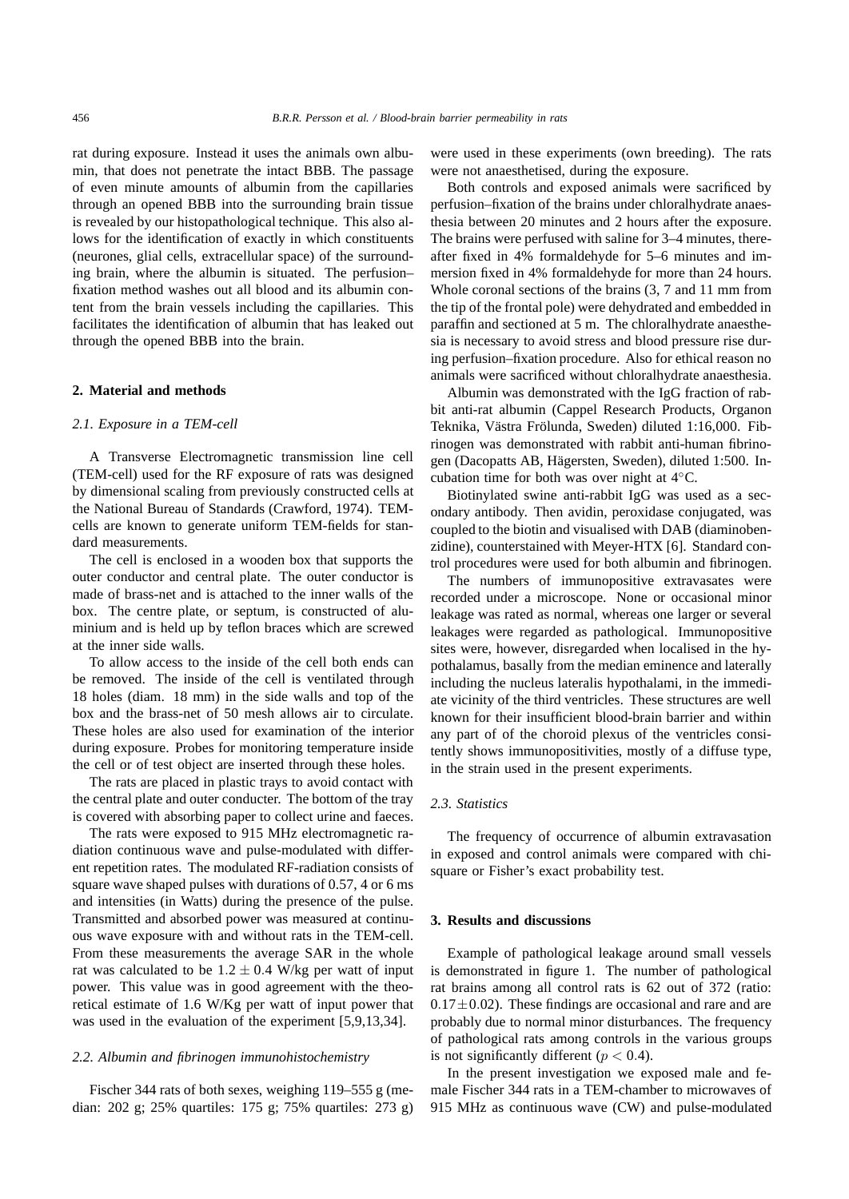rat during exposure. Instead it uses the animals own albumin, that does not penetrate the intact BBB. The passage of even minute amounts of albumin from the capillaries through an opened BBB into the surrounding brain tissue is revealed by our histopathological technique. This also allows for the identification of exactly in which constituents (neurones, glial cells, extracellular space) of the surrounding brain, where the albumin is situated. The perfusion– fixation method washes out all blood and its albumin content from the brain vessels including the capillaries. This facilitates the identification of albumin that has leaked out through the opened BBB into the brain.

## **2. Material and methods**

## *2.1. Exposure in a TEM-cell*

A Transverse Electromagnetic transmission line cell (TEM-cell) used for the RF exposure of rats was designed by dimensional scaling from previously constructed cells at the National Bureau of Standards (Crawford, 1974). TEMcells are known to generate uniform TEM-fields for standard measurements.

The cell is enclosed in a wooden box that supports the outer conductor and central plate. The outer conductor is made of brass-net and is attached to the inner walls of the box. The centre plate, or septum, is constructed of aluminium and is held up by teflon braces which are screwed at the inner side walls.

To allow access to the inside of the cell both ends can be removed. The inside of the cell is ventilated through 18 holes (diam. 18 mm) in the side walls and top of the box and the brass-net of 50 mesh allows air to circulate. These holes are also used for examination of the interior during exposure. Probes for monitoring temperature inside the cell or of test object are inserted through these holes.

The rats are placed in plastic trays to avoid contact with the central plate and outer conducter. The bottom of the tray is covered with absorbing paper to collect urine and faeces.

The rats were exposed to 915 MHz electromagnetic radiation continuous wave and pulse-modulated with different repetition rates. The modulated RF-radiation consists of square wave shaped pulses with durations of 0.57, 4 or 6 ms and intensities (in Watts) during the presence of the pulse. Transmitted and absorbed power was measured at continuous wave exposure with and without rats in the TEM-cell. From these measurements the average SAR in the whole rat was calculated to be  $1.2 \pm 0.4$  W/kg per watt of input power. This value was in good agreement with the theoretical estimate of 1.6 W/Kg per watt of input power that was used in the evaluation of the experiment [5,9,13,34].

#### *2.2. Albumin and fibrinogen immunohistochemistry*

Fischer 344 rats of both sexes, weighing 119–555 g (median: 202 g; 25% quartiles: 175 g; 75% quartiles: 273 g) were used in these experiments (own breeding). The rats were not anaesthetised, during the exposure.

Both controls and exposed animals were sacrificed by perfusion–fixation of the brains under chloralhydrate anaesthesia between 20 minutes and 2 hours after the exposure. The brains were perfused with saline for 3–4 minutes, thereafter fixed in 4% formaldehyde for 5–6 minutes and immersion fixed in 4% formaldehyde for more than 24 hours. Whole coronal sections of the brains (3, 7 and 11 mm from the tip of the frontal pole) were dehydrated and embedded in paraffin and sectioned at 5 m. The chloralhydrate anaesthesia is necessary to avoid stress and blood pressure rise during perfusion–fixation procedure. Also for ethical reason no animals were sacrificed without chloralhydrate anaesthesia.

Albumin was demonstrated with the IgG fraction of rabbit anti-rat albumin (Cappel Research Products, Organon Teknika, Västra Frölunda, Sweden) diluted 1:16,000. Fibrinogen was demonstrated with rabbit anti-human fibrinogen (Dacopatts AB, Hägersten, Sweden), diluted 1:500. Incubation time for both was over night at 4*◦*C.

Biotinylated swine anti-rabbit IgG was used as a secondary antibody. Then avidin, peroxidase conjugated, was coupled to the biotin and visualised with DAB (diaminobenzidine), counterstained with Meyer-HTX [6]. Standard control procedures were used for both albumin and fibrinogen.

The numbers of immunopositive extravasates were recorded under a microscope. None or occasional minor leakage was rated as normal, whereas one larger or several leakages were regarded as pathological. Immunopositive sites were, however, disregarded when localised in the hypothalamus, basally from the median eminence and laterally including the nucleus lateralis hypothalami, in the immediate vicinity of the third ventricles. These structures are well known for their insufficient blood-brain barrier and within any part of of the choroid plexus of the ventricles consitently shows immunopositivities, mostly of a diffuse type, in the strain used in the present experiments.

# *2.3. Statistics*

The frequency of occurrence of albumin extravasation in exposed and control animals were compared with chisquare or Fisher's exact probability test.

# **3. Results and discussions**

Example of pathological leakage around small vessels is demonstrated in figure 1. The number of pathological rat brains among all control rats is 62 out of 372 (ratio: 0.17*±*0.02). These findings are occasional and rare and are probably due to normal minor disturbances. The frequency of pathological rats among controls in the various groups is not significantly different ( $p < 0.4$ ).

In the present investigation we exposed male and female Fischer 344 rats in a TEM-chamber to microwaves of 915 MHz as continuous wave (CW) and pulse-modulated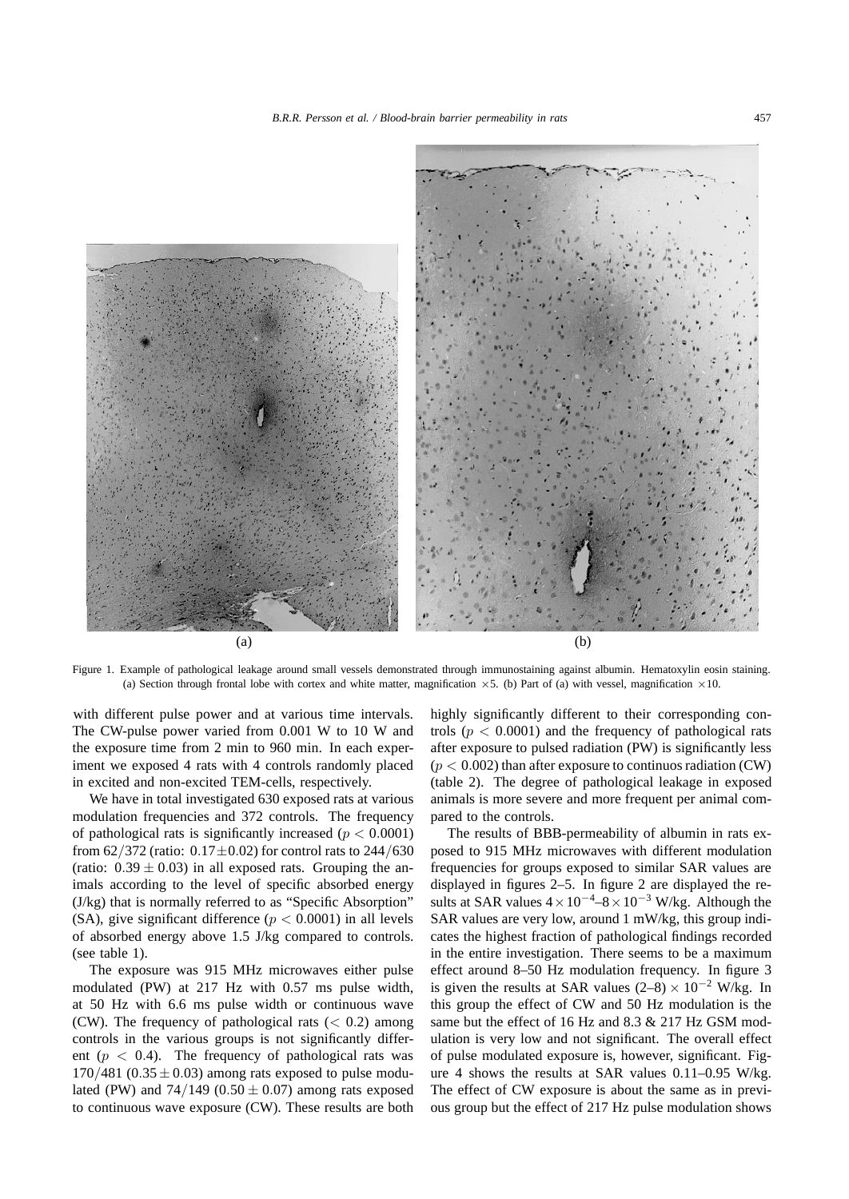

Figure 1. Example of pathological leakage around small vessels demonstrated through immunostaining against albumin. Hematoxylin eosin staining. (a) Section through frontal lobe with cortex and white matter, magnification *×*5. (b) Part of (a) with vessel, magnification *×*10.

with different pulse power and at various time intervals. The CW-pulse power varied from 0.001 W to 10 W and the exposure time from 2 min to 960 min. In each experiment we exposed 4 rats with 4 controls randomly placed in excited and non-excited TEM-cells, respectively.

We have in total investigated 630 exposed rats at various modulation frequencies and 372 controls. The frequency of pathological rats is significantly increased ( $p < 0.0001$ ) from 62/372 (ratio: 0.17*±*0.02) for control rats to 244/630 (ratio:  $0.39 \pm 0.03$ ) in all exposed rats. Grouping the animals according to the level of specific absorbed energy (J/kg) that is normally referred to as "Specific Absorption" (SA), give significant difference ( $p < 0.0001$ ) in all levels of absorbed energy above 1.5 J/kg compared to controls. (see table 1).

The exposure was 915 MHz microwaves either pulse modulated (PW) at 217 Hz with 0.57 ms pulse width, at 50 Hz with 6.6 ms pulse width or continuous wave (CW). The frequency of pathological rats  $(< 0.2)$  among controls in the various groups is not significantly different ( $p < 0.4$ ). The frequency of pathological rats was  $170/481$  (0.35  $\pm$  0.03) among rats exposed to pulse modulated (PW) and  $74/149$  (0.50  $\pm$  0.07) among rats exposed to continuous wave exposure (CW). These results are both

highly significantly different to their corresponding controls ( $p < 0.0001$ ) and the frequency of pathological rats after exposure to pulsed radiation (PW) is significantly less  $(p < 0.002)$  than after exposure to continuos radiation (CW) (table 2). The degree of pathological leakage in exposed animals is more severe and more frequent per animal compared to the controls.

The results of BBB-permeability of albumin in rats exposed to 915 MHz microwaves with different modulation frequencies for groups exposed to similar SAR values are displayed in figures 2–5. In figure 2 are displayed the results at SAR values 4*×*10*<sup>−</sup>*4–8*×*10*<sup>−</sup>*<sup>3</sup> W/kg. Although the SAR values are very low, around 1 mW/kg, this group indicates the highest fraction of pathological findings recorded in the entire investigation. There seems to be a maximum effect around 8–50 Hz modulation frequency. In figure 3 is given the results at SAR values (2–8) *×* 10*<sup>−</sup>*<sup>2</sup> W/kg. In this group the effect of CW and 50 Hz modulation is the same but the effect of 16 Hz and 8.3 & 217 Hz GSM modulation is very low and not significant. The overall effect of pulse modulated exposure is, however, significant. Figure 4 shows the results at SAR values 0.11–0.95 W/kg. The effect of CW exposure is about the same as in previous group but the effect of 217 Hz pulse modulation shows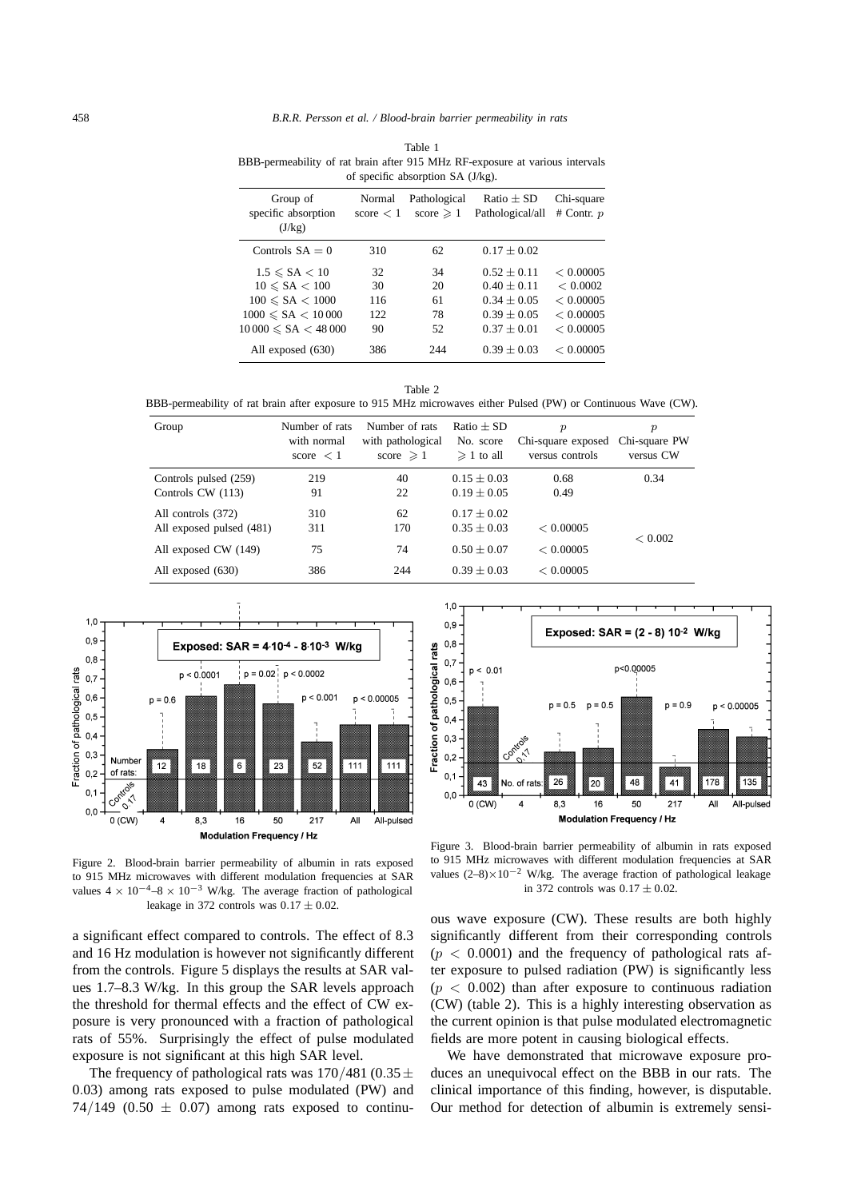458 *B.R.R. Persson et al. / Blood-brain barrier permeability in rats*

| of specific absorption SA (J/kg).         |                       |                                |                                    |                            |  |  |  |  |
|-------------------------------------------|-----------------------|--------------------------------|------------------------------------|----------------------------|--|--|--|--|
| Group of<br>specific absorption<br>(J/kg) | Normal<br>score $<$ 1 | Pathological<br>score $\geq 1$ | Ratio $\pm$ SD<br>Pathological/all | Chi-square<br># Contr. $p$ |  |  |  |  |
| Controls $SA = 0$                         | 310                   | 62                             | $0.17 + 0.02$                      |                            |  |  |  |  |
| $1.5 \leqslant SA < 10$                   | 32                    | 34                             | $0.52 + 0.11$                      | < 0.00005                  |  |  |  |  |
| $10 \leq S A < 100$                       | 30                    | 20                             | $0.40 \pm 0.11$                    | < 0.0002                   |  |  |  |  |
| $100 \le SA < 1000$                       | 116                   | 61                             | $0.34 + 0.05$                      | < 0.00005                  |  |  |  |  |
| $1000 \leq S A < 10000$                   | 122.                  | 78                             | $0.39 + 0.05$                      | < 0.00005                  |  |  |  |  |
| $10000 \leq S A < 48000$                  | 90                    | 52                             | $0.37 + 0.01$                      | < 0.00005                  |  |  |  |  |
| All exposed (630)                         | 386                   | 244                            | $0.39 + 0.03$                      | < 0.00005                  |  |  |  |  |

Table 1 BBB-permeability of rat brain after 915 MHz RF-exposure at various intervals

Table 2

BBB-permeability of rat brain after exposure to 915 MHz microwaves either Pulsed (PW) or Continuous Wave (CW).

| Group                    | Number of rats<br>with normal<br>score $\langle 1$ | Number of rats<br>with pathological<br>score $\geq 1$ | $Ratio + SD$<br>No. score<br>$\geq 1$ to all | $\boldsymbol{p}$<br>Chi-square exposed<br>versus controls | $\boldsymbol{p}$<br>Chi-square PW<br>versus CW |
|--------------------------|----------------------------------------------------|-------------------------------------------------------|----------------------------------------------|-----------------------------------------------------------|------------------------------------------------|
| Controls pulsed (259)    | 219                                                | 40                                                    | $0.15 \pm 0.03$                              | 0.68                                                      | 0.34                                           |
| Controls CW (113)        | 91                                                 | 22                                                    | $0.19 \pm 0.05$                              | 0.49                                                      |                                                |
| All controls (372)       | 310                                                | 62                                                    | $0.17 + 0.02$                                |                                                           |                                                |
| All exposed pulsed (481) | 311                                                | 170                                                   | $0.35 + 0.03$                                | < 0.00005                                                 | < 0.002                                        |
| All exposed CW (149)     | 75                                                 | 74                                                    | $0.50 \pm 0.07$                              | < 0.00005                                                 |                                                |
| All exposed (630)        | 386                                                | 244                                                   | $0.39 \pm 0.03$                              | < 0.00005                                                 |                                                |



Figure 2. Blood-brain barrier permeability of albumin in rats exposed to 915 MHz microwaves with different modulation frequencies at SAR values 4 *×* 10*<sup>−</sup>*4–8 *×* 10*−*<sup>3</sup> W/kg. The average fraction of pathological leakage in 372 controls was 0.17 *±* 0.02.

a significant effect compared to controls. The effect of 8.3 and 16 Hz modulation is however not significantly different from the controls. Figure 5 displays the results at SAR values 1.7–8.3 W/kg. In this group the SAR levels approach the threshold for thermal effects and the effect of CW exposure is very pronounced with a fraction of pathological rats of 55%. Surprisingly the effect of pulse modulated exposure is not significant at this high SAR level.

The frequency of pathological rats was  $170/481$  (0.35 $\pm$ 0.03) among rats exposed to pulse modulated (PW) and 74/149 ( $0.50 \pm 0.07$ ) among rats exposed to continu-



Figure 3. Blood-brain barrier permeability of albumin in rats exposed to 915 MHz microwaves with different modulation frequencies at SAR values (2–8)*×*10*−*<sup>2</sup> W/kg. The average fraction of pathological leakage in 372 controls was 0.17 *±* 0.02.

ous wave exposure (CW). These results are both highly significantly different from their corresponding controls  $(p < 0.0001)$  and the frequency of pathological rats after exposure to pulsed radiation (PW) is significantly less  $(p < 0.002)$  than after exposure to continuous radiation (CW) (table 2). This is a highly interesting observation as the current opinion is that pulse modulated electromagnetic fields are more potent in causing biological effects.

We have demonstrated that microwave exposure produces an unequivocal effect on the BBB in our rats. The clinical importance of this finding, however, is disputable. Our method for detection of albumin is extremely sensi-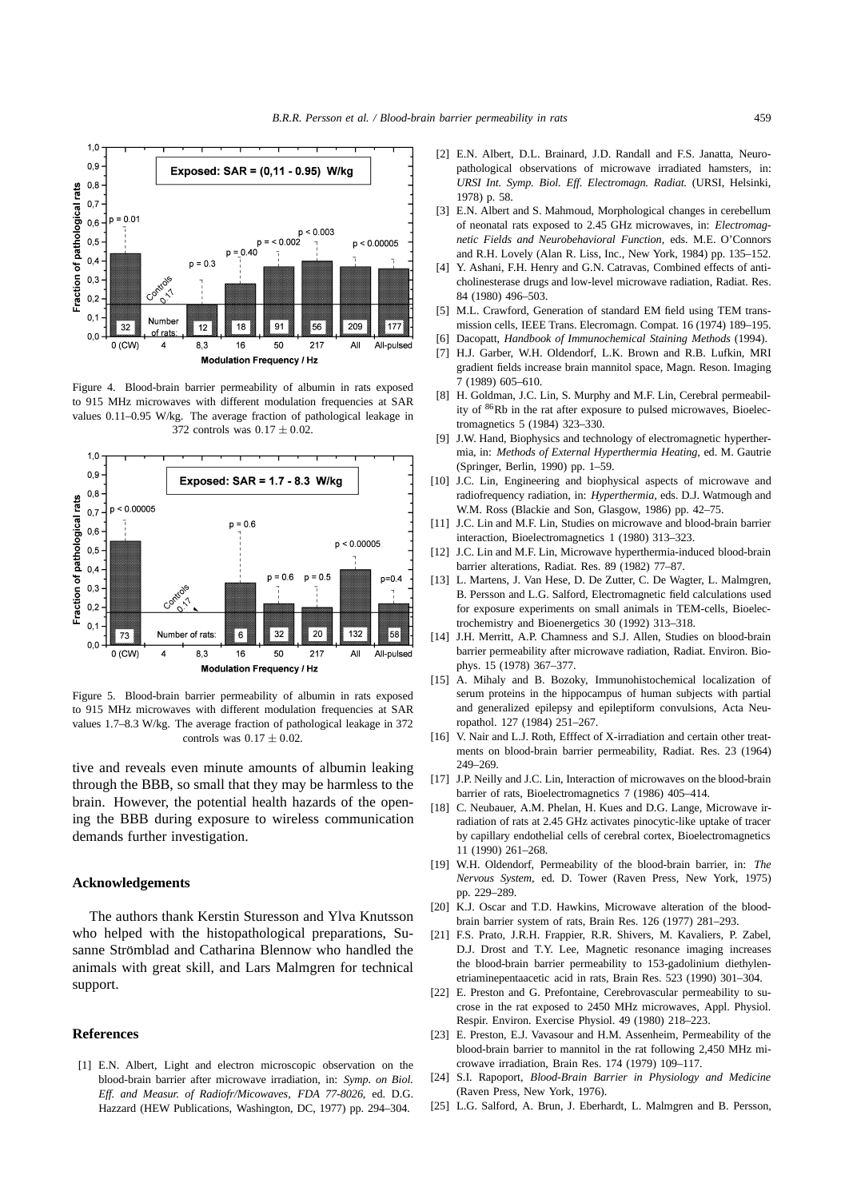

Figure 4. Blood-brain barrier permeability of albumin in rats exposed to 915 MHz microwaves with different modulation frequencies at SAR values 0.11–0.95 W/kg. The average fraction of pathological leakage in 372 controls was 0.17 *±* 0.02.



Figure 5. Blood-brain barrier permeability of albumin in rats exposed to 915 MHz microwaves with different modulation frequencies at SAR values 1.7–8.3 W/kg. The average fraction of pathological leakage in 372 controls was 0.17 *±* 0.02.

tive and reveals even minute amounts of albumin leaking through the BBB, so small that they may be harmless to the brain. However, the potential health hazards of the opening the BBB during exposure to wireless communication demands further investigation.

## **Acknowledgements**

The authors thank Kerstin Sturesson and Ylva Knutsson who helped with the histopathological preparations, Susanne Strömblad and Catharina Blennow who handled the animals with great skill, and Lars Malmgren for technical support.

#### **References**

[1] E.N. Albert, Light and electron microscopic observation on the blood-brain barrier after microwave irradiation, in: *Symp. on Biol. Eff. and Measur. of Radiofr/Micowaves, FDA 77-8026*, ed. D.G. Hazzard (HEW Publications, Washington, DC, 1977) pp. 294–304.

- [2] E.N. Albert, D.L. Brainard, J.D. Randall and F.S. Janatta, Neuropathological observations of microwave irradiated hamsters, in: *URSI Int. Symp. Biol. Eff. Electromagn. Radiat.* (URSI, Helsinki, 1978) p. 58.
- [3] E.N. Albert and S. Mahmoud, Morphological changes in cerebellum of neonatal rats exposed to 2.45 GHz microwaves, in: *Electromagnetic Fields and Neurobehavioral Function*, eds. M.E. O'Connors and R.H. Lovely (Alan R. Liss, Inc., New York, 1984) pp. 135–152.
- [4] Y. Ashani, F.H. Henry and G.N. Catravas, Combined effects of anticholinesterase drugs and low-level microwave radiation, Radiat. Res. 84 (1980) 496–503.
- [5] M.L. Crawford, Generation of standard EM field using TEM transmission cells, IEEE Trans. Elecromagn. Compat. 16 (1974) 189–195.
- [6] Dacopatt, *Handbook of Immunochemical Staining Methods* (1994).
- [7] H.J. Garber, W.H. Oldendorf, L.K. Brown and R.B. Lufkin, MRI gradient fields increase brain mannitol space, Magn. Reson. Imaging 7 (1989) 605–610.
- [8] H. Goldman, J.C. Lin, S. Murphy and M.F. Lin, Cerebral permeability of 86Rb in the rat after exposure to pulsed microwaves, Bioelectromagnetics 5 (1984) 323–330.
- [9] J.W. Hand, Biophysics and technology of electromagnetic hyperthermia, in: *Methods of External Hyperthermia Heating*, ed. M. Gautrie (Springer, Berlin, 1990) pp. 1–59.
- [10] J.C. Lin, Engineering and biophysical aspects of microwave and radiofrequency radiation, in: *Hyperthermia*, eds. D.J. Watmough and W.M. Ross (Blackie and Son, Glasgow, 1986) pp. 42–75.
- [11] J.C. Lin and M.F. Lin, Studies on microwave and blood-brain barrier interaction, Bioelectromagnetics 1 (1980) 313–323.
- [12] J.C. Lin and M.F. Lin, Microwave hyperthermia-induced blood-brain barrier alterations, Radiat. Res. 89 (1982) 77–87.
- [13] L. Martens, J. Van Hese, D. De Zutter, C. De Wagter, L. Malmgren, B. Persson and L.G. Salford, Electromagnetic field calculations used for exposure experiments on small animals in TEM-cells, Bioelectrochemistry and Bioenergetics 30 (1992) 313–318.
- [14] J.H. Merritt, A.P. Chamness and S.J. Allen, Studies on blood-brain barrier permeability after microwave radiation, Radiat. Environ. Biophys. 15 (1978) 367–377.
- [15] A. Mihaly and B. Bozoky, Immunohistochemical localization of serum proteins in the hippocampus of human subjects with partial and generalized epilepsy and epileptiform convulsions. Acta Neuropathol. 127 (1984) 251–267.
- [16] V. Nair and L.J. Roth, Efffect of X-irradiation and certain other treatments on blood-brain barrier permeability, Radiat. Res. 23 (1964) 249–269.
- [17] J.P. Neilly and J.C. Lin, Interaction of microwaves on the blood-brain barrier of rats, Bioelectromagnetics 7 (1986) 405–414.
- [18] C. Neubauer, A.M. Phelan, H. Kues and D.G. Lange, Microwave irradiation of rats at 2.45 GHz activates pinocytic-like uptake of tracer by capillary endothelial cells of cerebral cortex, Bioelectromagnetics 11 (1990) 261–268.
- [19] W.H. Oldendorf, Permeability of the blood-brain barrier, in: *The Nervous System*, ed. D. Tower (Raven Press, New York, 1975) pp. 229–289.
- [20] K.J. Oscar and T.D. Hawkins, Microwave alteration of the bloodbrain barrier system of rats, Brain Res. 126 (1977) 281–293.
- [21] F.S. Prato, J.R.H. Frappier, R.R. Shivers, M. Kavaliers, P. Zabel, D.J. Drost and T.Y. Lee, Magnetic resonance imaging increases the blood-brain barrier permeability to 153-gadolinium diethylenetriaminepentaacetic acid in rats, Brain Res. 523 (1990) 301–304.
- [22] E. Preston and G. Prefontaine, Cerebrovascular permeability to sucrose in the rat exposed to 2450 MHz microwaves, Appl. Physiol. Respir. Environ. Exercise Physiol. 49 (1980) 218–223.
- [23] E. Preston, E.J. Vavasour and H.M. Assenheim, Permeability of the blood-brain barrier to mannitol in the rat following 2,450 MHz microwave irradiation, Brain Res. 174 (1979) 109–117.
- [24] S.I. Rapoport, *Blood-Brain Barrier in Physiology and Medicine* (Raven Press, New York, 1976).
- [25] L.G. Salford, A. Brun, J. Eberhardt, L. Malmgren and B. Persson,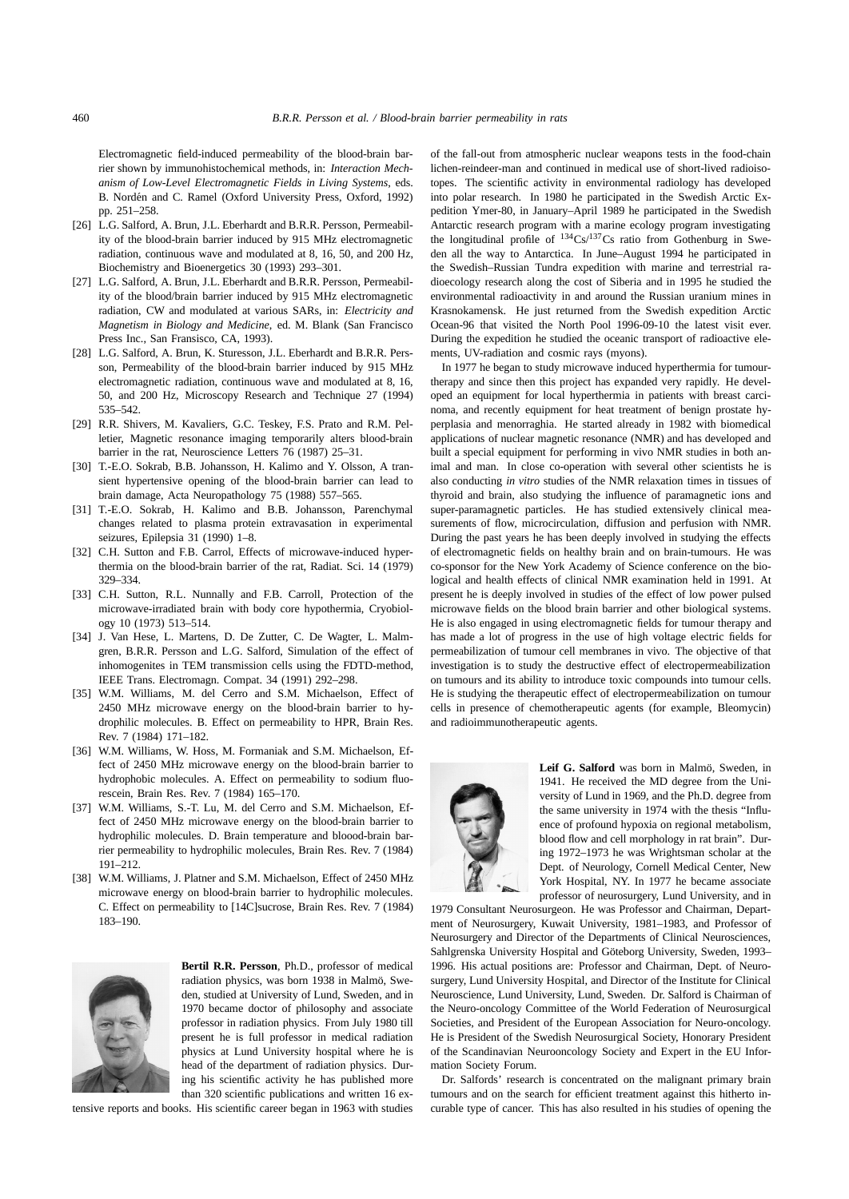Electromagnetic field-induced permeability of the blood-brain barrier shown by immunohistochemical methods, in: *Interaction Mechanism of Low-Level Electromagnetic Fields in Living Systems*, eds. B. Nordén and C. Ramel (Oxford University Press, Oxford, 1992) pp. 251–258.

- [26] L.G. Salford, A. Brun, J.L. Eberhardt and B.R.R. Persson, Permeability of the blood-brain barrier induced by 915 MHz electromagnetic radiation, continuous wave and modulated at 8, 16, 50, and 200 Hz, Biochemistry and Bioenergetics 30 (1993) 293–301.
- [27] L.G. Salford, A. Brun, J.L. Eberhardt and B.R.R. Persson, Permeability of the blood/brain barrier induced by 915 MHz electromagnetic radiation, CW and modulated at various SARs, in: *Electricity and Magnetism in Biology and Medicine*, ed. M. Blank (San Francisco Press Inc., San Fransisco, CA, 1993).
- [28] L.G. Salford, A. Brun, K. Sturesson, J.L. Eberhardt and B.R.R. Persson, Permeability of the blood-brain barrier induced by 915 MHz electromagnetic radiation, continuous wave and modulated at 8, 16, 50, and 200 Hz, Microscopy Research and Technique 27 (1994) 535–542.
- [29] R.R. Shivers, M. Kavaliers, G.C. Teskey, F.S. Prato and R.M. Pelletier, Magnetic resonance imaging temporarily alters blood-brain barrier in the rat, Neuroscience Letters 76 (1987) 25–31.
- [30] T.-E.O. Sokrab, B.B. Johansson, H. Kalimo and Y. Olsson, A transient hypertensive opening of the blood-brain barrier can lead to brain damage, Acta Neuropathology 75 (1988) 557–565.
- [31] T.-E.O. Sokrab, H. Kalimo and B.B. Johansson, Parenchymal changes related to plasma protein extravasation in experimental seizures, Epilepsia 31 (1990) 1–8.
- [32] C.H. Sutton and F.B. Carrol, Effects of microwave-induced hyperthermia on the blood-brain barrier of the rat, Radiat. Sci. 14 (1979) 329–334.
- [33] C.H. Sutton, R.L. Nunnally and F.B. Carroll, Protection of the microwave-irradiated brain with body core hypothermia, Cryobiology 10 (1973) 513–514.
- [34] J. Van Hese, L. Martens, D. De Zutter, C. De Wagter, L. Malmgren, B.R.R. Persson and L.G. Salford, Simulation of the effect of inhomogenites in TEM transmission cells using the FDTD-method, IEEE Trans. Electromagn. Compat. 34 (1991) 292–298.
- [35] W.M. Williams, M. del Cerro and S.M. Michaelson, Effect of 2450 MHz microwave energy on the blood-brain barrier to hydrophilic molecules. B. Effect on permeability to HPR, Brain Res. Rev. 7 (1984) 171–182.
- [36] W.M. Williams, W. Hoss, M. Formaniak and S.M. Michaelson, Effect of 2450 MHz microwave energy on the blood-brain barrier to hydrophobic molecules. A. Effect on permeability to sodium fluorescein, Brain Res. Rev. 7 (1984) 165–170.
- [37] W.M. Williams, S.-T. Lu, M. del Cerro and S.M. Michaelson, Effect of 2450 MHz microwave energy on the blood-brain barrier to hydrophilic molecules. D. Brain temperature and bloood-brain barrier permeability to hydrophilic molecules, Brain Res. Rev. 7 (1984) 191–212.
- [38] W.M. Williams, J. Platner and S.M. Michaelson, Effect of 2450 MHz microwave energy on blood-brain barrier to hydrophilic molecules. C. Effect on permeability to [14C]sucrose, Brain Res. Rev. 7 (1984) 183–190.



**Bertil R.R. Persson**, Ph.D., professor of medical radiation physics, was born 1938 in Malmö, Sweden, studied at University of Lund, Sweden, and in 1970 became doctor of philosophy and associate professor in radiation physics. From July 1980 till present he is full professor in medical radiation physics at Lund University hospital where he is head of the department of radiation physics. During his scientific activity he has published more than 320 scientific publications and written 16 ex-

tensive reports and books. His scientific career began in 1963 with studies

of the fall-out from atmospheric nuclear weapons tests in the food-chain lichen-reindeer-man and continued in medical use of short-lived radioisotopes. The scientific activity in environmental radiology has developed into polar research. In 1980 he participated in the Swedish Arctic Expedition Ymer-80, in January–April 1989 he participated in the Swedish Antarctic research program with a marine ecology program investigating the longitudinal profile of  $134Cs/137Cs$  ratio from Gothenburg in Sweden all the way to Antarctica. In June–August 1994 he participated in the Swedish–Russian Tundra expedition with marine and terrestrial radioecology research along the cost of Siberia and in 1995 he studied the environmental radioactivity in and around the Russian uranium mines in Krasnokamensk. He just returned from the Swedish expedition Arctic Ocean-96 that visited the North Pool 1996-09-10 the latest visit ever. During the expedition he studied the oceanic transport of radioactive elements, UV-radiation and cosmic rays (myons).

In 1977 he began to study microwave induced hyperthermia for tumourtherapy and since then this project has expanded very rapidly. He developed an equipment for local hyperthermia in patients with breast carcinoma, and recently equipment for heat treatment of benign prostate hyperplasia and menorraghia. He started already in 1982 with biomedical applications of nuclear magnetic resonance (NMR) and has developed and built a special equipment for performing in vivo NMR studies in both animal and man. In close co-operation with several other scientists he is also conducting *in vitro* studies of the NMR relaxation times in tissues of thyroid and brain, also studying the influence of paramagnetic ions and super-paramagnetic particles. He has studied extensively clinical measurements of flow, microcirculation, diffusion and perfusion with NMR. During the past years he has been deeply involved in studying the effects of electromagnetic fields on healthy brain and on brain-tumours. He was co-sponsor for the New York Academy of Science conference on the biological and health effects of clinical NMR examination held in 1991. At present he is deeply involved in studies of the effect of low power pulsed microwave fields on the blood brain barrier and other biological systems. He is also engaged in using electromagnetic fields for tumour therapy and has made a lot of progress in the use of high voltage electric fields for permeabilization of tumour cell membranes in vivo. The objective of that investigation is to study the destructive effect of electropermeabilization on tumours and its ability to introduce toxic compounds into tumour cells. He is studying the therapeutic effect of electropermeabilization on tumour cells in presence of chemotherapeutic agents (for example, Bleomycin) and radioimmunotherapeutic agents.



Leif G. Salford was born in Malmö, Sweden, in 1941. He received the MD degree from the University of Lund in 1969, and the Ph.D. degree from the same university in 1974 with the thesis "Influence of profound hypoxia on regional metabolism, blood flow and cell morphology in rat brain". During 1972–1973 he was Wrightsman scholar at the Dept. of Neurology, Cornell Medical Center, New York Hospital, NY. In 1977 he became associate professor of neurosurgery, Lund University, and in

1979 Consultant Neurosurgeon. He was Professor and Chairman, Department of Neurosurgery, Kuwait University, 1981–1983, and Professor of Neurosurgery and Director of the Departments of Clinical Neurosciences, Sahlgrenska University Hospital and Göteborg University, Sweden, 1993– 1996. His actual positions are: Professor and Chairman, Dept. of Neurosurgery, Lund University Hospital, and Director of the Institute for Clinical Neuroscience, Lund University, Lund, Sweden. Dr. Salford is Chairman of the Neuro-oncology Committee of the World Federation of Neurosurgical Societies, and President of the European Association for Neuro-oncology. He is President of the Swedish Neurosurgical Society, Honorary President of the Scandinavian Neurooncology Society and Expert in the EU Information Society Forum.

Dr. Salfords' research is concentrated on the malignant primary brain tumours and on the search for efficient treatment against this hitherto incurable type of cancer. This has also resulted in his studies of opening the